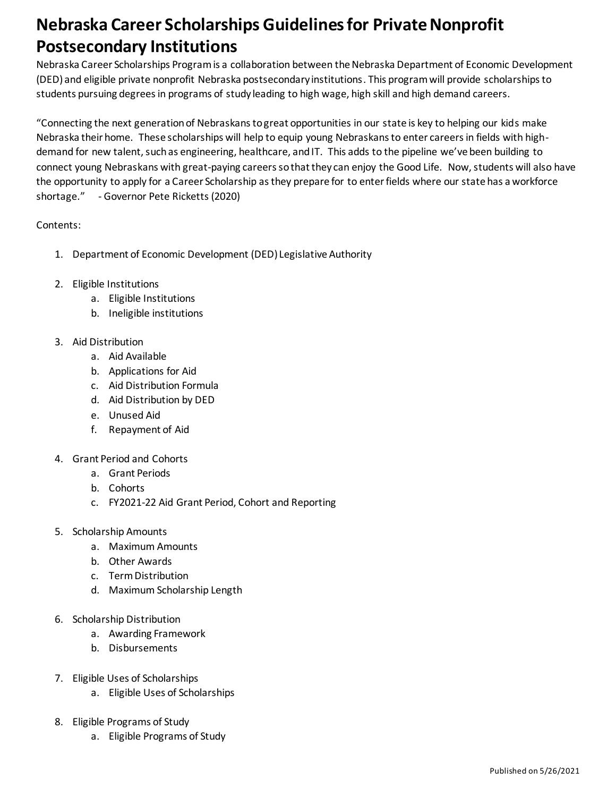# **Nebraska Career Scholarships Guidelinesfor Private Nonprofit Postsecondary Institutions**

Nebraska Career Scholarships Program is a collaboration between the Nebraska Department of Economic Development (DED) and eligible private nonprofit Nebraska postsecondary institutions. This program will provide scholarships to students pursuing degrees in programs of study leading to high wage, high skill and high demand careers.

"Connecting the next generation of Nebraskans to great opportunities in our state is key to helping our kids make Nebraska their home. These scholarships will help to equip young Nebraskans to enter careers in fields with highdemand for new talent, such as engineering, healthcare, and IT. This adds to the pipeline we've been building to connect young Nebraskans with great-paying careers so that they can enjoy the Good Life. Now, students will also have the opportunity to apply for a Career Scholarship as they prepare for to enter fields where our state has a workforce shortage." - Governor Pete Ricketts (2020)

## Contents:

- 1. Department of Economic Development (DED) Legislative Authority
- 2. Eligible Institutions
	- a. Eligible Institutions
	- b. Ineligible institutions
- 3. Aid Distribution
	- a. Aid Available
	- b. Applications for Aid
	- c. Aid Distribution Formula
	- d. Aid Distribution by DED
	- e. Unused Aid
	- f. Repayment of Aid
- 4. Grant Period and Cohorts
	- a. Grant Periods
	- b. Cohorts
	- c. FY2021-22 Aid Grant Period, Cohort and Reporting
- 5. Scholarship Amounts
	- a. Maximum Amounts
	- b. Other Awards
	- c. Term Distribution
	- d. Maximum Scholarship Length
- 6. Scholarship Distribution
	- a. Awarding Framework
	- b. Disbursements
- 7. Eligible Uses of Scholarships
	- a. Eligible Uses of Scholarships
- 8. Eligible Programs of Study
	- a. Eligible Programs of Study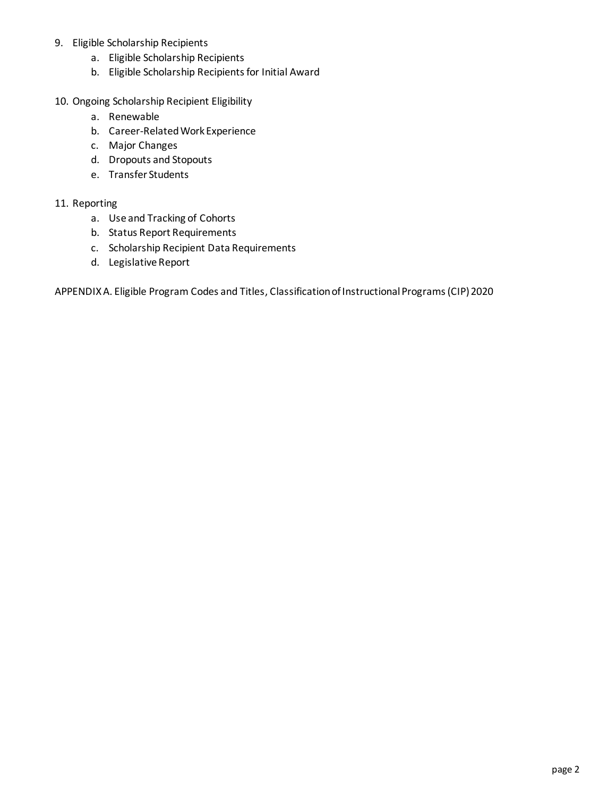- 9. Eligible Scholarship Recipients
	- a. Eligible Scholarship Recipients
	- b. Eligible Scholarship Recipients for Initial Award
- 10. Ongoing Scholarship Recipient Eligibility
	- a. Renewable
	- b. Career-Related Work Experience
	- c. Major Changes
	- d. Dropouts and Stopouts
	- e. Transfer Students

#### 11. Reporting

- a. Use and Tracking of Cohorts
- b. Status Report Requirements
- c. Scholarship Recipient Data Requirements
- d. Legislative Report

APPENDIX A. Eligible Program Codes and Titles, Classification of Instructional Programs (CIP) 2020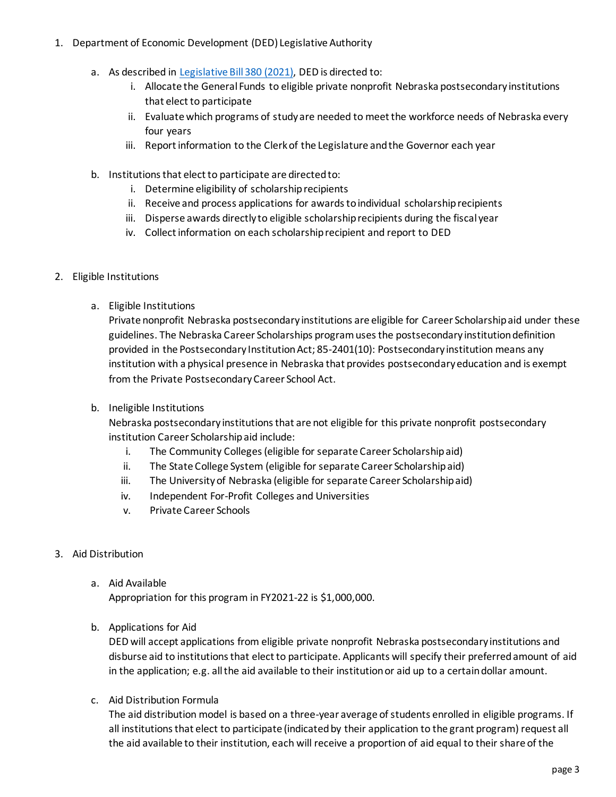- 1. Department of Economic Development (DED) Legislative Authority
	- a. As described in [Legislative Bill 380](https://nebraskalegislature.gov/FloorDocs/106/PDF/Final/LB1008.pdf) (2021), DED is directed to:
		- i. Allocate the General Funds to eligible private nonprofit Nebraska postsecondary institutions that elect to participate
		- ii. Evaluate which programs of study are needed to meet the workforce needs of Nebraska every four years
		- iii. Report information to the Clerk of the Legislature and the Governor each year
	- b. Institutions that elect to participate are directed to:
		- i. Determine eligibility of scholarship recipients
		- ii. Receive and process applications for awards to individual scholarship recipients
		- iii. Disperse awards directly to eligible scholarship recipients during the fiscal year
		- iv. Collect information on each scholarship recipient and report to DED
- 2. Eligible Institutions
	- a. Eligible Institutions

Private nonprofit Nebraska postsecondary institutions are eligible for Career Scholarship aid under these guidelines. The Nebraska Career Scholarships program uses the postsecondary institution definition provided in the Postsecondary Institution Act; 85-2401(10): Postsecondary institution means any institution with a physical presence in Nebraska that provides postsecondary education and is exempt from the Private Postsecondary Career School Act.

b. Ineligible Institutions

Nebraska postsecondary institutions that are not eligible for this private nonprofit postsecondary institution Career Scholarship aid include:

- i. The Community Colleges (eligible for separate Career Scholarship aid)
- ii. The State College System (eligible for separate Career Scholarship aid)
- iii. The University of Nebraska (eligible for separate Career Scholarship aid)
- iv. Independent For-Profit Colleges and Universities
- v. Private Career Schools
- 3. Aid Distribution
	- a. Aid Available

Appropriation for this program in FY2021-22 is \$1,000,000.

b. Applications for Aid

DED will accept applications from eligible private nonprofit Nebraska postsecondary institutions and disburse aid to institutions that elect to participate. Applicants will specify their preferred amount of aid in the application; e.g. all the aid available to their institution or aid up to a certain dollar amount.

c. Aid Distribution Formula

The aid distribution model is based on a three-year average of students enrolled in eligible programs. If all institutions that elect to participate (indicated by their application to the grant program) request all the aid available to their institution, each will receive a proportion of aid equal to their share of the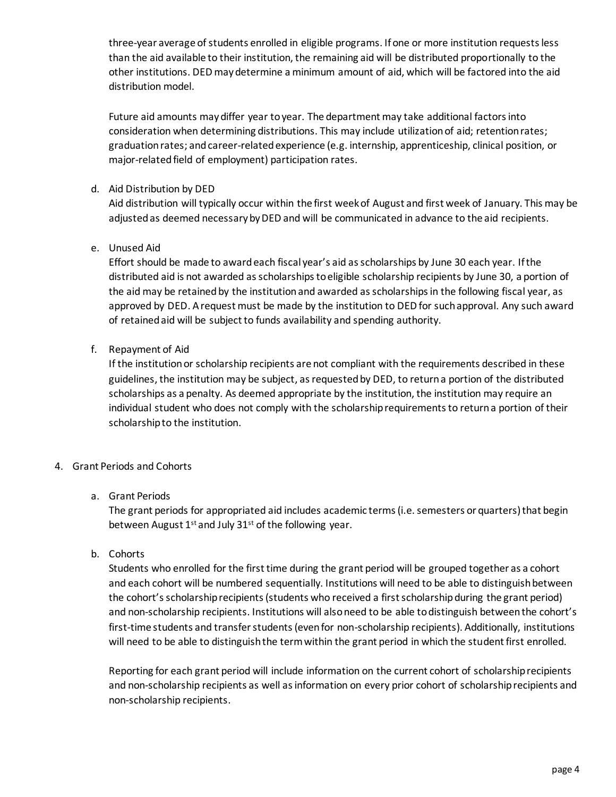three-year average of students enrolled in eligible programs. If one or more institution requests less than the aid available to their institution, the remaining aid will be distributed proportionally to the other institutions. DED may determine a minimum amount of aid, which will be factored into the aid distribution model.

Future aid amounts may differ year to year. The department may take additional factors into consideration when determining distributions. This may include utilization of aid; retention rates; graduationrates; and career-related experience (e.g. internship, apprenticeship, clinical position, or major-related field of employment) participation rates.

#### d. Aid Distribution by DED

Aid distribution will typically occur within the first week of August and first week of January. This may be adjusted as deemed necessary by DED and will be communicated in advance to the aid recipients.

## e. Unused Aid

Effort should be made to award each fiscal year's aid as scholarships by June 30 each year. If the distributed aid is not awarded as scholarships to eligible scholarship recipients by June 30, a portion of the aid may be retained by the institution and awarded as scholarships in the following fiscal year, as approved by DED. A request must be made by the institution to DED for such approval. Any such award of retained aid will be subject to funds availability and spending authority.

#### f. Repayment of Aid

If the institutionor scholarship recipients are not compliant with the requirements described in these guidelines, the institution may be subject, as requested by DED, to returna portion of the distributed scholarships as a penalty. As deemed appropriate by the institution, the institution may require an individual student who does not comply with the scholarship requirements to return a portion of their scholarship to the institution.

#### 4. Grant Periods and Cohorts

#### a. Grant Periods

The grant periods for appropriated aid includes academic terms (i.e. semesters or quarters) that begin between August  $1^{st}$  and July 31st of the following year.

#### b. Cohorts

Students who enrolled for the first time during the grant period will be grouped together as a cohort and each cohort will be numbered sequentially. Institutions will need to be able to distinguish between the cohort's scholarship recipients (students who received a first scholarship during the grant period) and non-scholarship recipients. Institutions will also need to be able to distinguish between the cohort's first-time students and transfer students (even for non-scholarship recipients). Additionally, institutions will need to be able to distinguish the term within the grant period in which the student first enrolled.

Reporting for each grant period will include information on the current cohort of scholarship recipients and non-scholarship recipients as well as information on every prior cohort of scholarship recipients and non-scholarship recipients.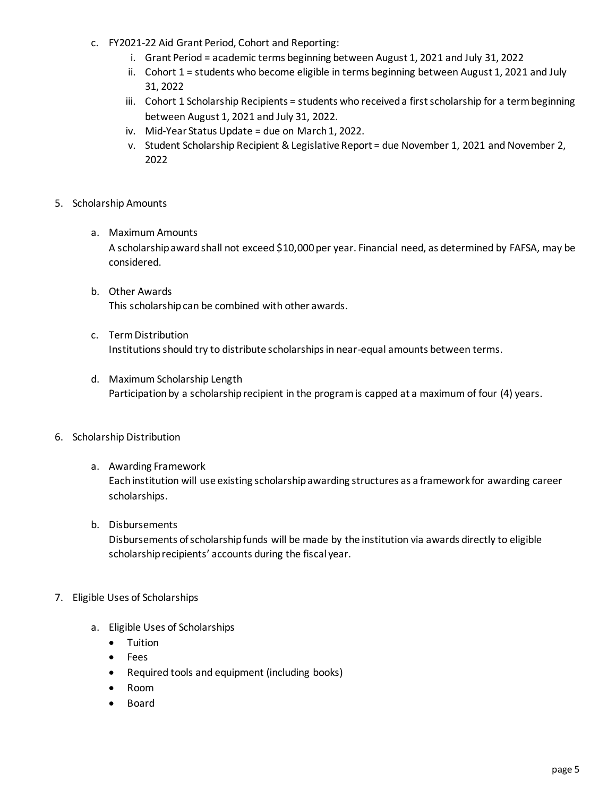- c. FY2021-22 Aid Grant Period, Cohort and Reporting:
	- i. Grant Period = academic terms beginning between August 1, 2021 and July 31, 2022
	- ii. Cohort 1 = students who become eligible in terms beginning between August 1, 2021 and July 31, 2022
	- iii. Cohort 1 Scholarship Recipients = students who received a first scholarship for a term beginning between August 1, 2021 and July 31, 2022.
	- iv. Mid-Year Status Update = due on March 1, 2022.
	- v. Student Scholarship Recipient & Legislative Report = due November 1, 2021 and November 2, 2022
- 5. Scholarship Amounts
	- a. Maximum Amounts

A scholarship award shall not exceed \$10,000 per year. Financial need, as determined by FAFSA, may be considered.

- b. Other Awards This scholarship can be combined with other awards.
- c. Term Distribution Institutions should try to distribute scholarships in near-equal amounts between terms.
- d. Maximum Scholarship Length Participation by a scholarship recipient in the program is capped at a maximum of four (4) years.
- 6. Scholarship Distribution
	- a. Awarding Framework

Each institution will use existing scholarship awarding structures as a framework for awarding career scholarships.

b. Disbursements

Disbursements of scholarship funds will be made by the institution via awards directly to eligible scholarship recipients' accounts during the fiscal year.

- 7. Eligible Uses of Scholarships
	- a. Eligible Uses of Scholarships
		- Tuition
		- Fees
		- Required tools and equipment (including books)
		- Room
		- Board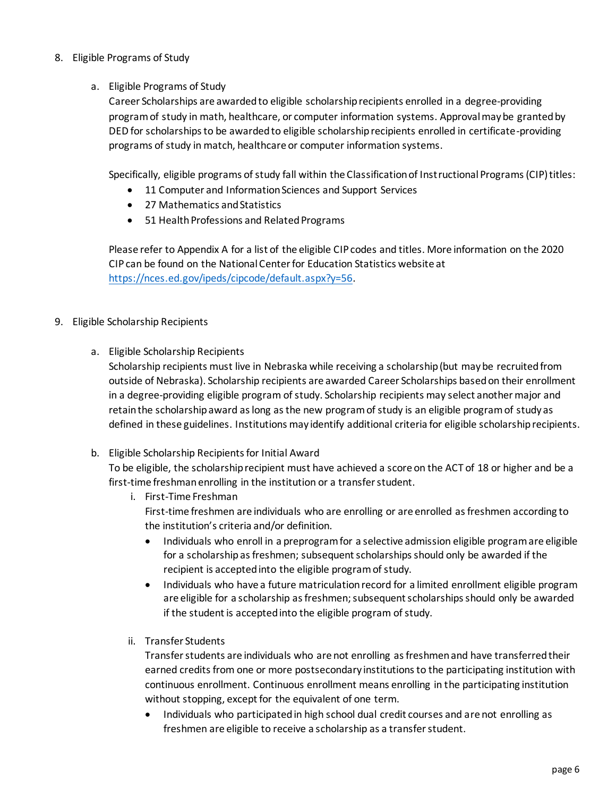#### 8. Eligible Programs of Study

#### a. Eligible Programs of Study

Career Scholarships are awarded to eligible scholarship recipients enrolled in a degree-providing program of study in math, healthcare, or computer information systems. Approval may be granted by DED for scholarships to be awarded to eligible scholarship recipients enrolled in certificate-providing programs of study in match, healthcare or computer information systems.

Specifically, eligible programs of study fall within the Classification of Instructional Programs (CIP) titles:

- 11 Computer and Information Sciences and Support Services
- 27 Mathematics and Statistics
- 51 Health Professions and Related Programs

Please refer to Appendix A for a list of the eligible CIP codes and titles. More information on the 2020 CIP can be found on the National Center for Education Statistics website at [https://nces.ed.gov/ipeds/cipcode/default.aspx?y=56.](https://nces.ed.gov/ipeds/cipcode/default.aspx?y=56)

## 9. Eligible Scholarship Recipients

a. Eligible Scholarship Recipients

Scholarship recipients must live in Nebraska while receiving a scholarship (but may be recruited from outside of Nebraska). Scholarship recipients are awarded Career Scholarships based on their enrollment in a degree-providing eligible program of study. Scholarship recipients may select another major and retain the scholarship award as long as the new program of study is an eligible programof study as defined in these guidelines. Institutions may identify additional criteria for eligible scholarship recipients.

b. Eligible Scholarship Recipients for Initial Award

To be eligible, the scholarship recipient must have achieved a score on the ACT of 18 or higher and be a first-time freshmanenrolling in the institution or a transfer student.

- i. First-Time Freshman First-time freshmen are individuals who are enrolling or are enrolled as freshmen according to the institution's criteria and/or definition.
	- Individuals who enroll in a preprogram for a selective admission eligible program are eligible for a scholarship as freshmen; subsequent scholarships should only be awarded if the recipient is accepted into the eligible program of study.
	- Individuals who have a future matriculation record for a limited enrollment eligible program are eligible for a scholarship as freshmen; subsequent scholarships should only be awarded if the student is accepted into the eligible program of study.
- ii. Transfer Students

Transfer students are individuals who are not enrolling as freshmen and have transferred their earned credits from one or more postsecondary institutions to the participating institution with continuous enrollment. Continuous enrollment means enrolling in the participating institution without stopping, except for the equivalent of one term.

• Individuals who participated in high school dual credit courses and are not enrolling as freshmen are eligible to receive a scholarship as a transfer student.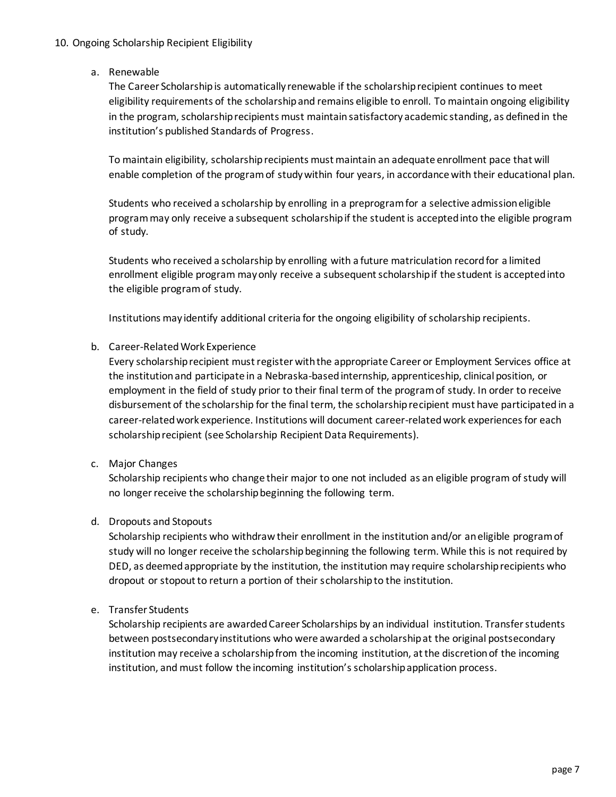#### 10. Ongoing Scholarship Recipient Eligibility

a. Renewable

The Career Scholarship is automatically renewable if the scholarship recipient continues to meet eligibility requirements of the scholarship and remains eligible to enroll. To maintain ongoing eligibility in the program, scholarship recipients must maintain satisfactory academic standing, as defined in the institution's published Standards of Progress.

To maintain eligibility, scholarship recipients must maintain an adequate enrollment pace that will enable completion of the program of study within four years, in accordance with their educational plan.

Students who received a scholarship by enrolling in a preprogram for a selective admission eligible program may only receive a subsequent scholarship if the student is accepted into the eligible program of study.

Students who received a scholarship by enrolling with a future matriculation record for a limited enrollment eligible program may only receive a subsequent scholarship if the student is accepted into the eligible program of study.

Institutions may identify additional criteria for the ongoing eligibility of scholarship recipients.

#### b. Career-Related Work Experience

Every scholarship recipient must register with the appropriate Career or Employment Services office at the institution and participate in a Nebraska-based internship, apprenticeship, clinical position, or employment in the field of study prior to their final termof the program of study. In order to receive disbursement of the scholarship for the final term, the scholarship recipient must have participated in a career-related work experience. Institutions will document career-related work experiences for each scholarship recipient (see Scholarship Recipient Data Requirements).

## c. Major Changes

Scholarship recipients who change their major to one not included as an eligible program of study will no longer receive the scholarship beginning the following term.

#### d. Dropouts and Stopouts

Scholarship recipients who withdraw their enrollment in the institution and/or an eligible program of study will no longer receive the scholarship beginning the following term. While this is not required by DED, as deemed appropriate by the institution, the institution may require scholarship recipients who dropout or stopout to return a portion of their scholarship to the institution.

#### e. Transfer Students

Scholarship recipients are awarded Career Scholarships by an individual institution. Transfer students between postsecondary institutions who were awarded a scholarship at the original postsecondary institution may receive a scholarship from the incoming institution, at the discretion of the incoming institution, and must follow the incoming institution's scholarship application process.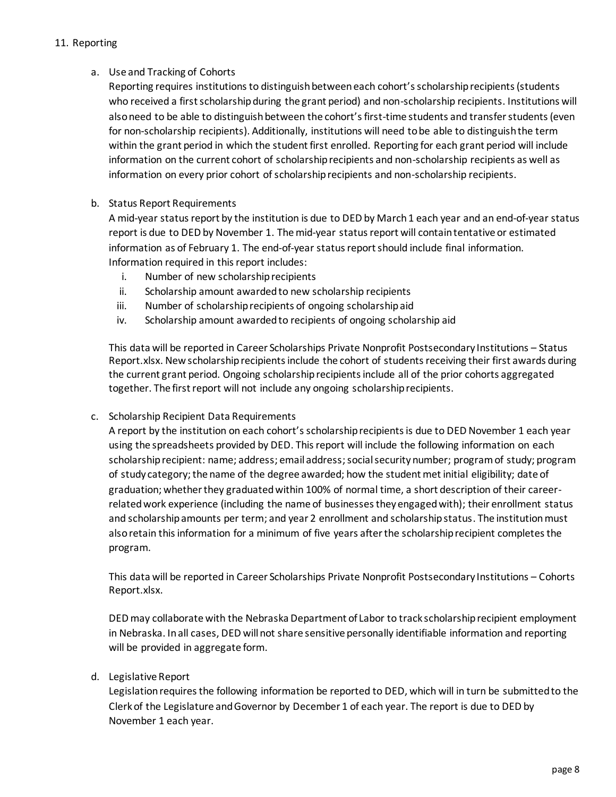#### 11. Reporting

#### a. Use and Tracking of Cohorts

Reporting requires institutionsto distinguish between each cohort's scholarship recipients (students who received a first scholarship during the grant period) and non-scholarship recipients. Institutions will also need to be able to distinguish between the cohort's first-time students and transfer students (even for non-scholarship recipients). Additionally, institutions will need to be able to distinguish the term within the grant period in which the student first enrolled. Reporting for each grant period will include information on the current cohort of scholarship recipients and non-scholarship recipients as well as information on every prior cohort of scholarship recipients and non-scholarship recipients.

#### b. Status Report Requirements

A mid-year status report by the institution is due to DED by March 1 each year and an end-of-year status report is due to DED by November 1. The mid-year status report will contain tentative or estimated information as of February 1. The end-of-year status report should include final information. Information required in this report includes:

- i. Number of new scholarship recipients
- ii. Scholarship amount awarded to new scholarship recipients
- iii. Number of scholarship recipients of ongoing scholarship aid
- iv. Scholarship amount awarded to recipients of ongoing scholarship aid

This data will be reported in Career Scholarships Private Nonprofit Postsecondary Institutions – Status Report.xlsx. New scholarship recipients include the cohort of students receiving their first awards during the current grant period. Ongoing scholarship recipients include all of the prior cohorts aggregated together. The first report will not include any ongoing scholarship recipients.

#### c. Scholarship Recipient Data Requirements

A report by the institution on each cohort'sscholarship recipients is due to DED November 1 each year using the spreadsheets provided by DED. This report will include the following information on each scholarship recipient: name; address; email address; social security number; program of study; program of study category;the name of the degree awarded; how the student met initial eligibility; date of graduation; whether they graduated within 100% of normal time, a short description of their careerrelated work experience (including the name of businesses they engaged with); their enrollment status and scholarship amounts per term; and year 2 enrollment and scholarship status. The institutionmust alsoretain this information for a minimum of five years after the scholarship recipient completes the program.

This data will be reported in Career Scholarships Private Nonprofit Postsecondary Institutions – Cohorts Report.xlsx.

DED may collaborate with the Nebraska Department of Labor to track scholarship recipient employment in Nebraska. In all cases, DED will not share sensitive personally identifiable information and reporting will be provided in aggregate form.

#### d. Legislative Report

Legislation requires the following information be reported to DED, which will in turn be submitted to the Clerk of the Legislature and Governor by December 1 of each year. The report is due to DED by November 1 each year.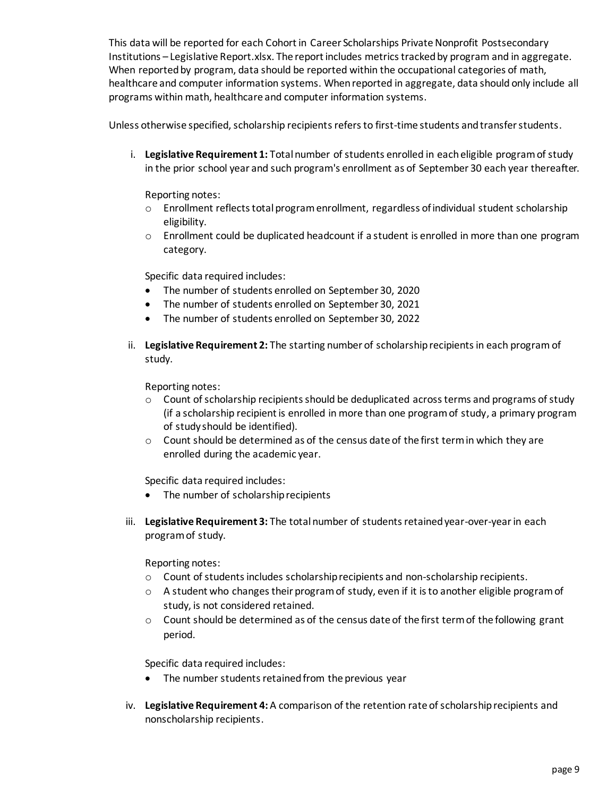This data will be reported for each Cohort in Career Scholarships Private Nonprofit Postsecondary Institutions – Legislative Report.xlsx. The report includes metrics tracked by program and in aggregate. When reported by program, data should be reported within the occupational categories of math, healthcare and computer information systems. When reported in aggregate, data should only include all programs within math, healthcare and computer information systems.

Unless otherwise specified, scholarship recipients refers to first-time students and transfer students.

i. **Legislative Requirement 1:** Total number of students enrolled in each eligible program of study in the prior school year and such program's enrollment as of September 30 each year thereafter.

Reporting notes:

- o Enrollment reflects total program enrollment, regardless of individual student scholarship eligibility.
- $\circ$  Enrollment could be duplicated headcount if a student is enrolled in more than one program category.

Specific data required includes:

- The number of students enrolled on September 30, 2020
- The number of students enrolled on September 30, 2021
- The number of students enrolled on September 30, 2022
- ii. **Legislative Requirement 2:** The starting number of scholarship recipients in each program of study.

Reporting notes:

- $\circ$  Count of scholarship recipients should be deduplicated across terms and programs of study (if a scholarship recipient is enrolled in more than one program of study, a primary program of study should be identified).
- $\circ$  Count should be determined as of the census date of the first term in which they are enrolled during the academic year.

Specific data required includes:

- The number of scholarship recipients
- iii. **Legislative Requirement 3:** The total number of students retained year-over-year in each program of study.

Reporting notes:

- o Count of students includes scholarship recipients and non-scholarship recipients.
- $\circ$  A student who changes their program of study, even if it is to another eligible program of study, is not considered retained.
- $\circ$  Count should be determined as of the census date of the first term of the following grant period.

Specific data required includes:

- The number students retained from the previous year
- iv. **Legislative Requirement 4:** A comparison of the retention rate of scholarship recipients and nonscholarship recipients.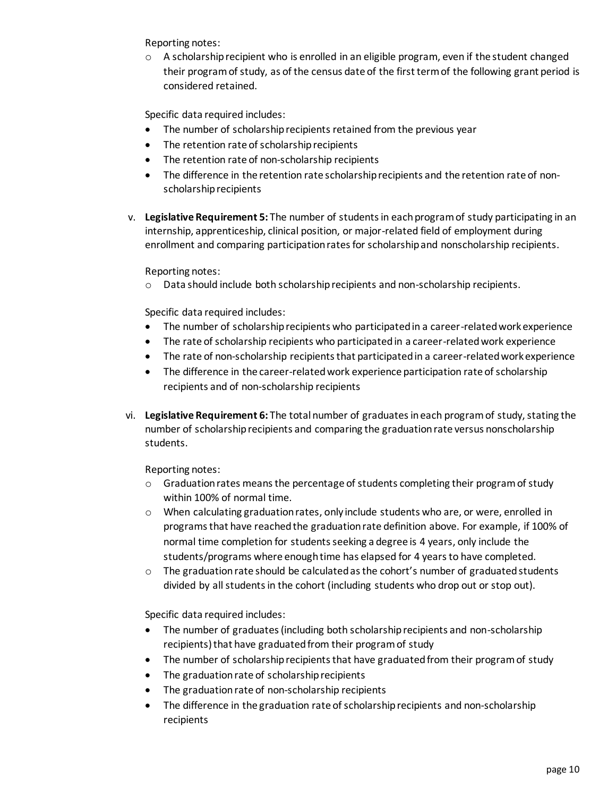Reporting notes:

 $\circ$  A scholarship recipient who is enrolled in an eligible program, even if the student changed their program of study, as of the census date of the first term of the following grant period is considered retained.

Specific data required includes:

- The number of scholarship recipients retained from the previous year
- The retention rate of scholarship recipients
- The retention rate of non-scholarship recipients
- The difference in the retention rate scholarship recipients and the retention rate of nonscholarship recipients
- v. **Legislative Requirement 5:** The number of students in each program of study participating in an internship, apprenticeship, clinical position, or major-related field of employment during enrollment and comparing participation rates for scholarship and nonscholarship recipients.

Reporting notes:

o Data should include both scholarship recipients and non-scholarship recipients.

Specific data required includes:

- The number of scholarship recipients who participated in a career-related work experience
- The rate of scholarship recipients who participated in a career-related work experience
- The rate of non-scholarship recipients that participated in a career-related work experience
- The difference in the career-related work experience participation rate of scholarship recipients and of non-scholarship recipients
- vi. **Legislative Requirement 6:** The total number of graduates in each program of study, stating the number of scholarship recipients and comparing the graduation rate versus nonscholarship students.

Reporting notes:

- $\circ$  Graduation rates means the percentage of students completing their program of study within 100% of normal time.
- $\circ$  When calculating graduation rates, only include students who are, or were, enrolled in programs that have reached the graduation rate definition above. For example, if 100% of normal time completion for students seeking a degree is 4 years, only include the students/programs where enough time has elapsed for 4 years to have completed.
- $\circ$  The graduation rate should be calculated as the cohort's number of graduated students divided by all students in the cohort (including students who drop out or stop out).

Specific data required includes:

- The number of graduates (including both scholarship recipients and non-scholarship recipients) that have graduated from their program of study
- The number of scholarship recipients that have graduated from their program of study
- The graduation rate of scholarship recipients
- The graduation rate of non-scholarship recipients
- The difference in the graduation rate of scholarship recipients and non-scholarship recipients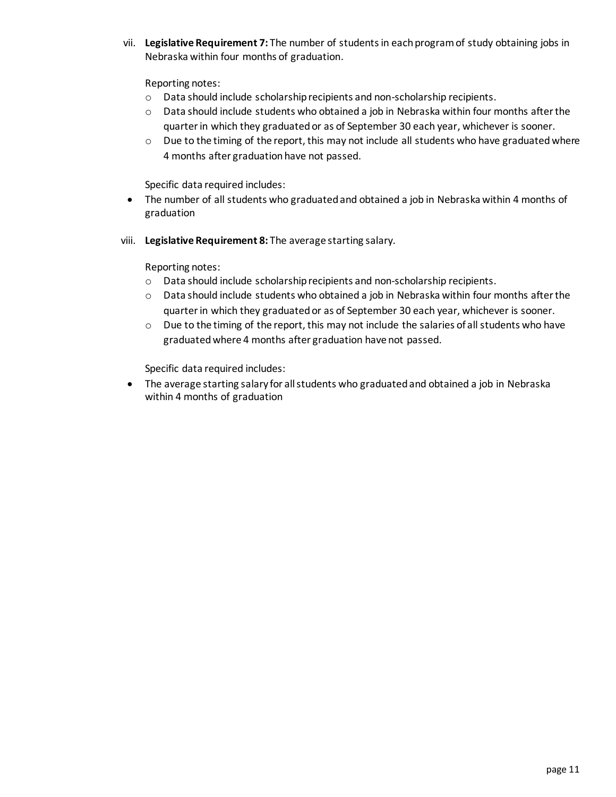vii. **Legislative Requirement 7:** The number of students in each program of study obtaining jobs in Nebraska within four months of graduation.

Reporting notes:

- o Data should include scholarship recipients and non-scholarship recipients.
- o Data should include students who obtained a job in Nebraska within four months after the quarter in which they graduatedor as of September 30 each year, whichever is sooner.
- $\circ$  Due to the timing of the report, this may not include all students who have graduated where 4 months after graduation have not passed.

Specific data required includes:

- The number of all students who graduated and obtained a job in Nebraska within 4 months of graduation
- viii. **Legislative Requirement 8:** The average starting salary.

Reporting notes:

- o Data should include scholarship recipients and non-scholarship recipients.
- o Data should include students who obtained a job in Nebraska within four months after the quarter in which they graduatedor as of September 30 each year, whichever is sooner.
- $\circ$  Due to the timing of the report, this may not include the salaries of all students who have graduatedwhere 4 months after graduation have not passed.

Specific data required includes:

• The average starting salary for all students who graduated and obtained a job in Nebraska within 4 months of graduation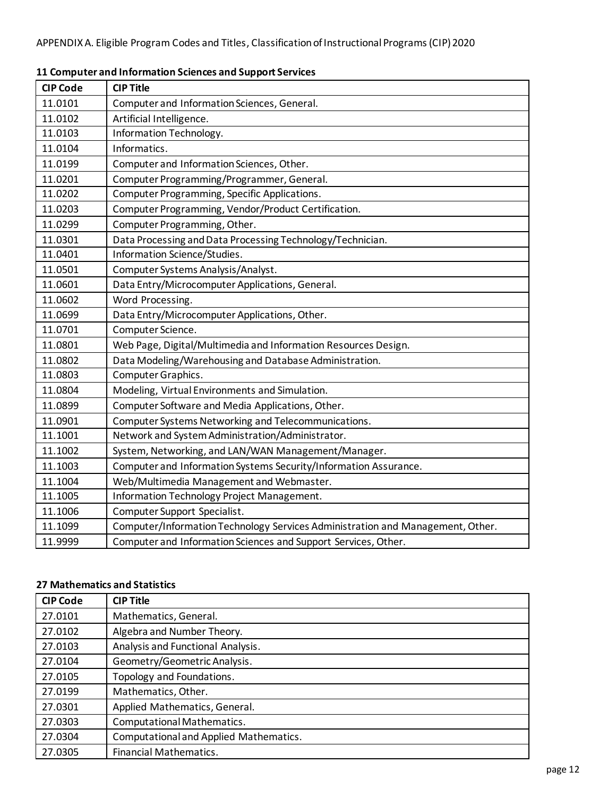| <b>CIP Code</b> | <b>CIP Title</b>                                                               |
|-----------------|--------------------------------------------------------------------------------|
| 11.0101         | Computer and Information Sciences, General.                                    |
| 11.0102         | Artificial Intelligence.                                                       |
| 11.0103         | Information Technology.                                                        |
| 11.0104         | Informatics.                                                                   |
| 11.0199         | Computer and Information Sciences, Other.                                      |
| 11.0201         | Computer Programming/Programmer, General.                                      |
| 11.0202         | Computer Programming, Specific Applications.                                   |
| 11.0203         | Computer Programming, Vendor/Product Certification.                            |
| 11.0299         | Computer Programming, Other.                                                   |
| 11.0301         | Data Processing and Data Processing Technology/Technician.                     |
| 11.0401         | Information Science/Studies.                                                   |
| 11.0501         | Computer Systems Analysis/Analyst.                                             |
| 11.0601         | Data Entry/Microcomputer Applications, General.                                |
| 11.0602         | Word Processing.                                                               |
| 11.0699         | Data Entry/Microcomputer Applications, Other.                                  |
| 11.0701         | Computer Science.                                                              |
| 11.0801         | Web Page, Digital/Multimedia and Information Resources Design.                 |
| 11.0802         | Data Modeling/Warehousing and Database Administration.                         |
| 11.0803         | Computer Graphics.                                                             |
| 11.0804         | Modeling, Virtual Environments and Simulation.                                 |
| 11.0899         | Computer Software and Media Applications, Other.                               |
| 11.0901         | Computer Systems Networking and Telecommunications.                            |
| 11.1001         | Network and System Administration/Administrator.                               |
| 11.1002         | System, Networking, and LAN/WAN Management/Manager.                            |
| 11.1003         | Computer and Information Systems Security/Information Assurance.               |
| 11.1004         | Web/Multimedia Management and Webmaster.                                       |
| 11.1005         | Information Technology Project Management.                                     |
| 11.1006         | Computer Support Specialist.                                                   |
| 11.1099         | Computer/Information Technology Services Administration and Management, Other. |
| 11.9999         | Computer and Information Sciences and Support Services, Other.                 |

## **11 Computer and Information Sciences and Support Services**

## **27 Mathematics and Statistics**

| <b>CIP Code</b> | <b>CIP Title</b>                       |
|-----------------|----------------------------------------|
| 27.0101         | Mathematics, General.                  |
| 27.0102         | Algebra and Number Theory.             |
| 27.0103         | Analysis and Functional Analysis.      |
| 27.0104         | Geometry/Geometric Analysis.           |
| 27.0105         | Topology and Foundations.              |
| 27.0199         | Mathematics, Other.                    |
| 27.0301         | Applied Mathematics, General.          |
| 27.0303         | Computational Mathematics.             |
| 27.0304         | Computational and Applied Mathematics. |
| 27.0305         | <b>Financial Mathematics.</b>          |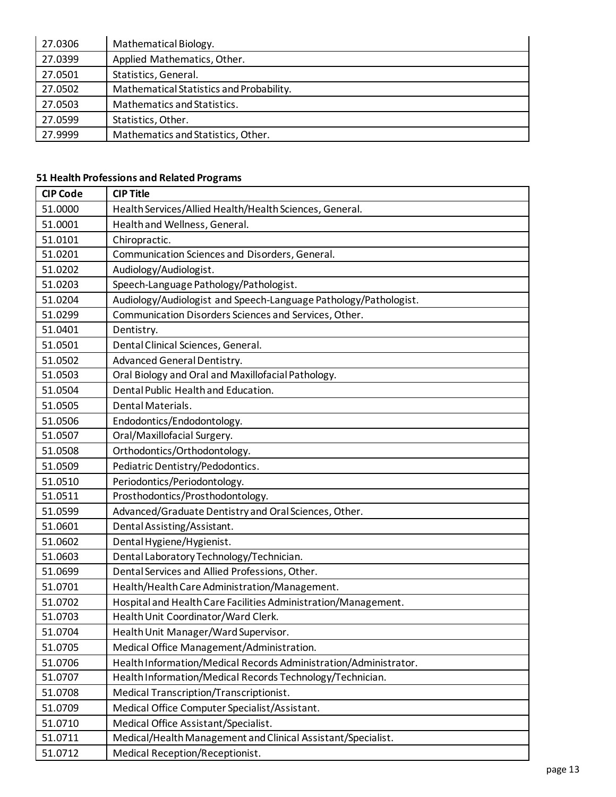| 27.0306 | Mathematical Biology.                    |
|---------|------------------------------------------|
| 27.0399 | Applied Mathematics, Other.              |
| 27.0501 | Statistics, General.                     |
| 27.0502 | Mathematical Statistics and Probability. |
| 27.0503 | Mathematics and Statistics.              |
| 27.0599 | Statistics, Other.                       |
| 27.9999 | Mathematics and Statistics, Other.       |

## **51 Health Professions and Related Programs**

| <b>CIP Code</b> | <b>CIP Title</b>                                                 |
|-----------------|------------------------------------------------------------------|
| 51.0000         | Health Services/Allied Health/Health Sciences, General.          |
| 51.0001         | Health and Wellness, General.                                    |
| 51.0101         | Chiropractic.                                                    |
| 51.0201         | Communication Sciences and Disorders, General.                   |
| 51.0202         | Audiology/Audiologist.                                           |
| 51.0203         | Speech-Language Pathology/Pathologist.                           |
| 51.0204         | Audiology/Audiologist and Speech-Language Pathology/Pathologist. |
| 51.0299         | Communication Disorders Sciences and Services, Other.            |
| 51.0401         | Dentistry.                                                       |
| 51.0501         | Dental Clinical Sciences, General.                               |
| 51.0502         | Advanced General Dentistry.                                      |
| 51.0503         | Oral Biology and Oral and Maxillofacial Pathology.               |
| 51.0504         | Dental Public Health and Education.                              |
| 51.0505         | Dental Materials.                                                |
| 51.0506         | Endodontics/Endodontology.                                       |
| 51.0507         | Oral/Maxillofacial Surgery.                                      |
| 51.0508         | Orthodontics/Orthodontology.                                     |
| 51.0509         | Pediatric Dentistry/Pedodontics.                                 |
| 51.0510         | Periodontics/Periodontology.                                     |
| 51.0511         | Prosthodontics/Prosthodontology.                                 |
| 51.0599         | Advanced/Graduate Dentistry and Oral Sciences, Other.            |
| 51.0601         | Dental Assisting/Assistant.                                      |
| 51.0602         | Dental Hygiene/Hygienist.                                        |
| 51.0603         | Dental Laboratory Technology/Technician.                         |
| 51.0699         | Dental Services and Allied Professions, Other.                   |
| 51.0701         | Health/Health Care Administration/Management.                    |
| 51.0702         | Hospital and Health Care Facilities Administration/Management.   |
| 51.0703         | Health Unit Coordinator/Ward Clerk.                              |
| 51.0704         | Health Unit Manager/Ward Supervisor.                             |
| 51.0705         | Medical Office Management/Administration.                        |
| 51.0706         | Health Information/Medical Records Administration/Administrator. |
| 51.0707         | Health Information/Medical Records Technology/Technician.        |
| 51.0708         | Medical Transcription/Transcriptionist.                          |
| 51.0709         | Medical Office Computer Specialist/Assistant.                    |
| 51.0710         | Medical Office Assistant/Specialist.                             |
| 51.0711         | Medical/Health Management and Clinical Assistant/Specialist.     |
| 51.0712         | Medical Reception/Receptionist.                                  |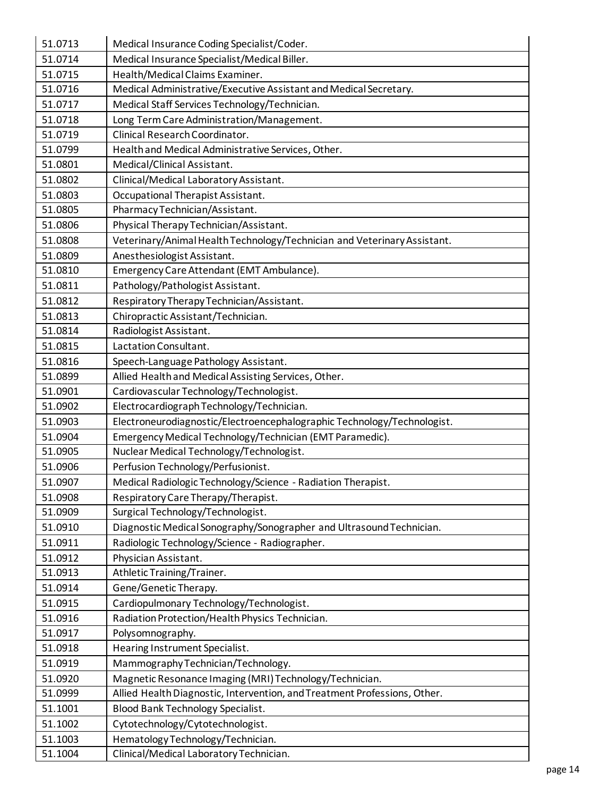| 51.0713 | Medical Insurance Coding Specialist/Coder.                                |
|---------|---------------------------------------------------------------------------|
| 51.0714 | Medical Insurance Specialist/Medical Biller.                              |
| 51.0715 | Health/Medical Claims Examiner.                                           |
| 51.0716 | Medical Administrative/Executive Assistant and Medical Secretary.         |
| 51.0717 | Medical Staff Services Technology/Technician.                             |
| 51.0718 | Long Term Care Administration/Management.                                 |
| 51.0719 | Clinical Research Coordinator.                                            |
| 51.0799 | Health and Medical Administrative Services, Other.                        |
| 51.0801 | Medical/Clinical Assistant.                                               |
| 51.0802 | Clinical/Medical Laboratory Assistant.                                    |
| 51.0803 | Occupational Therapist Assistant.                                         |
| 51.0805 | Pharmacy Technician/Assistant.                                            |
| 51.0806 | Physical Therapy Technician/Assistant.                                    |
| 51.0808 | Veterinary/Animal Health Technology/Technician and Veterinary Assistant.  |
| 51.0809 | Anesthesiologist Assistant.                                               |
| 51.0810 | Emergency Care Attendant (EMT Ambulance).                                 |
| 51.0811 | Pathology/Pathologist Assistant.                                          |
| 51.0812 | Respiratory Therapy Technician/Assistant.                                 |
| 51.0813 | Chiropractic Assistant/Technician.                                        |
| 51.0814 | Radiologist Assistant.                                                    |
| 51.0815 | Lactation Consultant.                                                     |
| 51.0816 | Speech-Language Pathology Assistant.                                      |
| 51.0899 | Allied Health and Medical Assisting Services, Other.                      |
| 51.0901 | Cardiovascular Technology/Technologist.                                   |
| 51.0902 | Electrocardiograph Technology/Technician.                                 |
| 51.0903 | Electroneurodiagnostic/Electroencephalographic Technology/Technologist.   |
| 51.0904 | Emergency Medical Technology/Technician (EMT Paramedic).                  |
| 51.0905 | Nuclear Medical Technology/Technologist.                                  |
| 51.0906 | Perfusion Technology/Perfusionist.                                        |
| 51.0907 | Medical Radiologic Technology/Science - Radiation Therapist.              |
| 51.0908 | Respiratory Care Therapy/Therapist.                                       |
| 51.0909 | Surgical Technology/Technologist.                                         |
| 51.0910 | Diagnostic Medical Sonography/Sonographer and Ultrasound Technician.      |
| 51.0911 | Radiologic Technology/Science - Radiographer.                             |
| 51.0912 | Physician Assistant.                                                      |
| 51.0913 | Athletic Training/Trainer.                                                |
| 51.0914 | Gene/Genetic Therapy.                                                     |
| 51.0915 | Cardiopulmonary Technology/Technologist.                                  |
| 51.0916 | Radiation Protection/Health Physics Technician.                           |
| 51.0917 | Polysomnography.                                                          |
| 51.0918 | Hearing Instrument Specialist.                                            |
| 51.0919 | Mammography Technician/Technology.                                        |
| 51.0920 | Magnetic Resonance Imaging (MRI) Technology/Technician.                   |
| 51.0999 | Allied Health Diagnostic, Intervention, and Treatment Professions, Other. |
| 51.1001 | <b>Blood Bank Technology Specialist.</b>                                  |
| 51.1002 | Cytotechnology/Cytotechnologist.                                          |
| 51.1003 | Hematology Technology/Technician.                                         |
| 51.1004 | Clinical/Medical Laboratory Technician.                                   |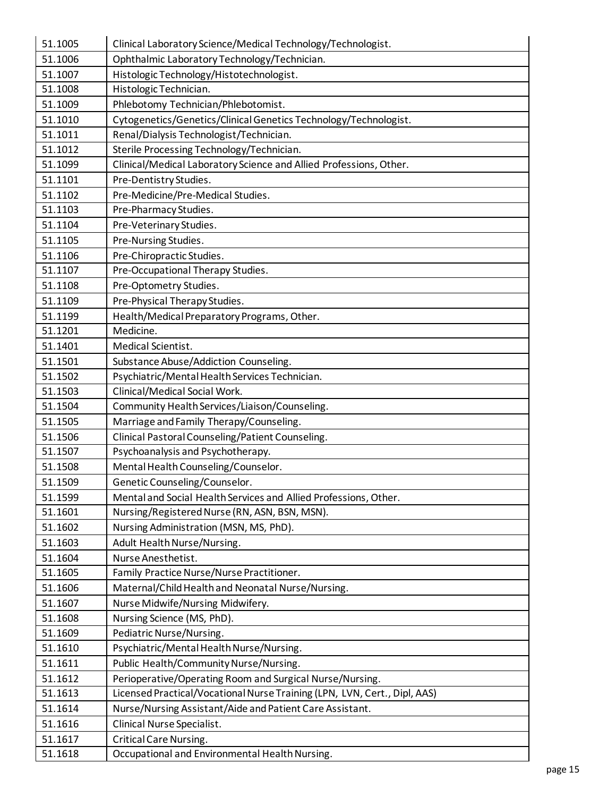| 51.1005 | Clinical Laboratory Science/Medical Technology/Technologist.              |
|---------|---------------------------------------------------------------------------|
| 51.1006 | Ophthalmic Laboratory Technology/Technician.                              |
| 51.1007 | Histologic Technology/Histotechnologist.                                  |
| 51.1008 | Histologic Technician.                                                    |
| 51.1009 | Phlebotomy Technician/Phlebotomist.                                       |
| 51.1010 | Cytogenetics/Genetics/Clinical Genetics Technology/Technologist.          |
| 51.1011 | Renal/Dialysis Technologist/Technician.                                   |
| 51.1012 | Sterile Processing Technology/Technician.                                 |
| 51.1099 | Clinical/Medical Laboratory Science and Allied Professions, Other.        |
| 51.1101 | Pre-Dentistry Studies.                                                    |
| 51.1102 | Pre-Medicine/Pre-Medical Studies.                                         |
| 51.1103 | Pre-Pharmacy Studies.                                                     |
| 51.1104 | Pre-Veterinary Studies.                                                   |
| 51.1105 | Pre-Nursing Studies.                                                      |
| 51.1106 | Pre-Chiropractic Studies.                                                 |
| 51.1107 | Pre-Occupational Therapy Studies.                                         |
| 51.1108 | Pre-Optometry Studies.                                                    |
| 51.1109 | Pre-Physical Therapy Studies.                                             |
| 51.1199 | Health/Medical Preparatory Programs, Other.                               |
| 51.1201 | Medicine.                                                                 |
| 51.1401 | Medical Scientist.                                                        |
| 51.1501 | Substance Abuse/Addiction Counseling.                                     |
| 51.1502 | Psychiatric/Mental Health Services Technician.                            |
| 51.1503 | Clinical/Medical Social Work.                                             |
| 51.1504 | Community Health Services/Liaison/Counseling.                             |
| 51.1505 | Marriage and Family Therapy/Counseling.                                   |
| 51.1506 | Clinical Pastoral Counseling/Patient Counseling.                          |
| 51.1507 | Psychoanalysis and Psychotherapy.                                         |
| 51.1508 | Mental Health Counseling/Counselor.                                       |
| 51.1509 | Genetic Counseling/Counselor.                                             |
| 51.1599 | Mental and Social Health Services and Allied Professions, Other.          |
| 51.1601 | Nursing/Registered Nurse (RN, ASN, BSN, MSN).                             |
| 51.1602 | Nursing Administration (MSN, MS, PhD).                                    |
| 51.1603 | Adult Health Nurse/Nursing.                                               |
| 51.1604 | Nurse Anesthetist.                                                        |
| 51.1605 | Family Practice Nurse/Nurse Practitioner.                                 |
| 51.1606 | Maternal/Child Health and Neonatal Nurse/Nursing.                         |
| 51.1607 | Nurse Midwife/Nursing Midwifery.                                          |
| 51.1608 | Nursing Science (MS, PhD).                                                |
| 51.1609 | Pediatric Nurse/Nursing.                                                  |
| 51.1610 | Psychiatric/Mental Health Nurse/Nursing.                                  |
| 51.1611 | Public Health/Community Nurse/Nursing.                                    |
| 51.1612 | Perioperative/Operating Room and Surgical Nurse/Nursing.                  |
| 51.1613 | Licensed Practical/Vocational Nurse Training (LPN, LVN, Cert., Dipl, AAS) |
| 51.1614 | Nurse/Nursing Assistant/Aide and Patient Care Assistant.                  |
| 51.1616 | Clinical Nurse Specialist.                                                |
| 51.1617 | Critical Care Nursing.                                                    |
| 51.1618 | Occupational and Environmental Health Nursing.                            |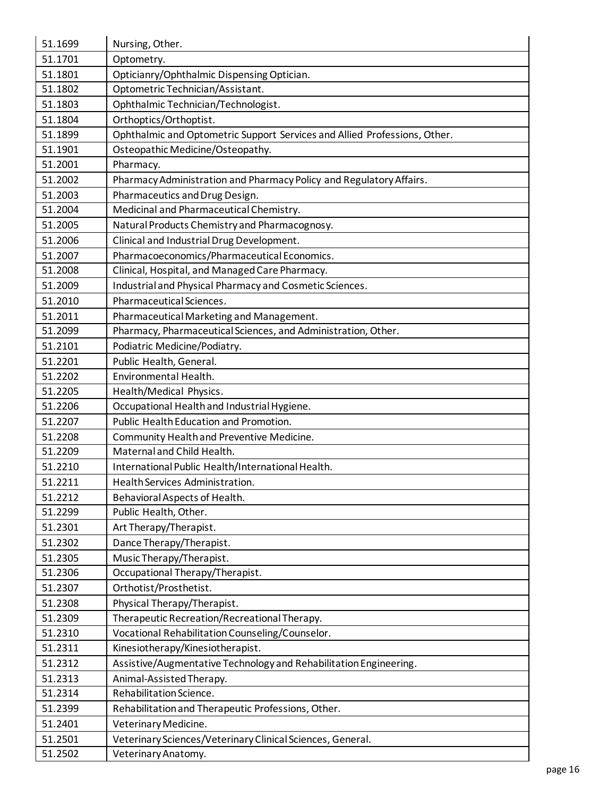| 51.1699 | Nursing, Other.                                                           |
|---------|---------------------------------------------------------------------------|
| 51.1701 | Optometry.                                                                |
| 51.1801 | Opticianry/Ophthalmic Dispensing Optician.                                |
| 51.1802 | Optometric Technician/Assistant.                                          |
| 51.1803 | Ophthalmic Technician/Technologist.                                       |
| 51.1804 | Orthoptics/Orthoptist.                                                    |
| 51.1899 | Ophthalmic and Optometric Support Services and Allied Professions, Other. |
| 51.1901 | Osteopathic Medicine/Osteopathy.                                          |
| 51.2001 | Pharmacy.                                                                 |
| 51.2002 | Pharmacy Administration and Pharmacy Policy and Regulatory Affairs.       |
| 51.2003 | Pharmaceutics and Drug Design.                                            |
| 51.2004 | Medicinal and Pharmaceutical Chemistry.                                   |
| 51.2005 | Natural Products Chemistry and Pharmacognosy.                             |
| 51.2006 | Clinical and Industrial Drug Development.                                 |
| 51.2007 | Pharmacoeconomics/Pharmaceutical Economics.                               |
| 51.2008 | Clinical, Hospital, and Managed Care Pharmacy.                            |
| 51.2009 | Industrial and Physical Pharmacy and Cosmetic Sciences.                   |
| 51.2010 | Pharmaceutical Sciences.                                                  |
| 51.2011 | Pharmaceutical Marketing and Management.                                  |
| 51.2099 | Pharmacy, Pharmaceutical Sciences, and Administration, Other.             |
| 51.2101 | Podiatric Medicine/Podiatry.                                              |
| 51.2201 | Public Health, General.                                                   |
| 51.2202 | Environmental Health.                                                     |
| 51.2205 | Health/Medical Physics.                                                   |
| 51.2206 | Occupational Health and Industrial Hygiene.                               |
| 51.2207 | Public Health Education and Promotion.                                    |
| 51.2208 | Community Health and Preventive Medicine.                                 |
| 51.2209 | Maternal and Child Health.                                                |
| 51.2210 | International Public Health/International Health.                         |
| 51.2211 | Health Services Administration.                                           |
| 51.2212 | Behavioral Aspects of Health.                                             |
| 51.2299 | Public Health, Other.                                                     |
| 51.2301 | Art Therapy/Therapist.                                                    |
| 51.2302 | Dance Therapy/Therapist.                                                  |
| 51.2305 | Music Therapy/Therapist.                                                  |
| 51.2306 | Occupational Therapy/Therapist.                                           |
| 51.2307 | Orthotist/Prosthetist.                                                    |
| 51.2308 | Physical Therapy/Therapist.                                               |
| 51.2309 | Therapeutic Recreation/Recreational Therapy.                              |
| 51.2310 | Vocational Rehabilitation Counseling/Counselor.                           |
| 51.2311 | Kinesiotherapy/Kinesiotherapist.                                          |
| 51.2312 | Assistive/Augmentative Technology and Rehabilitation Engineering.         |
| 51.2313 | Animal-Assisted Therapy.                                                  |
| 51.2314 | Rehabilitation Science.                                                   |
| 51.2399 | Rehabilitation and Therapeutic Professions, Other.                        |
| 51.2401 | Veterinary Medicine.                                                      |
| 51.2501 | Veterinary Sciences/Veterinary Clinical Sciences, General.                |
| 51.2502 | Veterinary Anatomy.                                                       |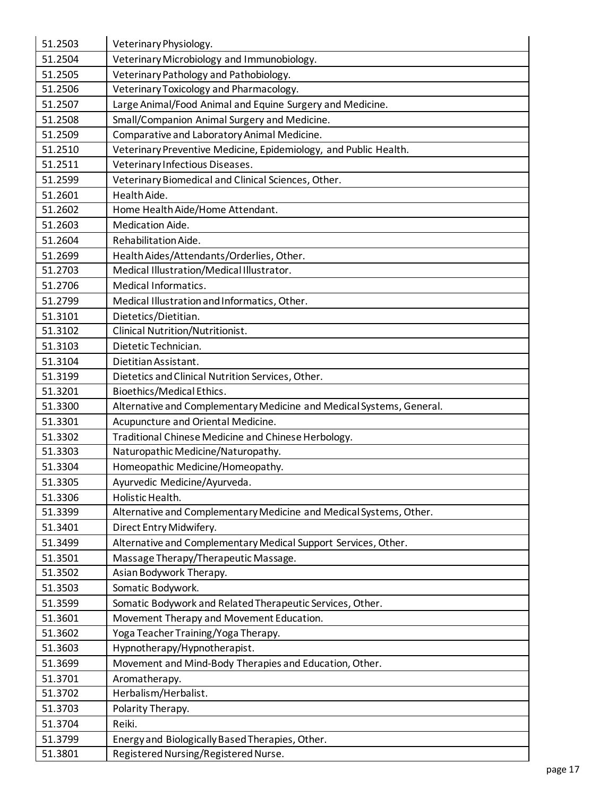| 51.2503 | Veterinary Physiology.                                               |
|---------|----------------------------------------------------------------------|
| 51.2504 | Veterinary Microbiology and Immunobiology.                           |
| 51.2505 | Veterinary Pathology and Pathobiology.                               |
| 51.2506 | Veterinary Toxicology and Pharmacology.                              |
| 51.2507 | Large Animal/Food Animal and Equine Surgery and Medicine.            |
| 51.2508 | Small/Companion Animal Surgery and Medicine.                         |
| 51.2509 | Comparative and Laboratory Animal Medicine.                          |
| 51.2510 | Veterinary Preventive Medicine, Epidemiology, and Public Health.     |
| 51.2511 | Veterinary Infectious Diseases.                                      |
| 51.2599 | Veterinary Biomedical and Clinical Sciences, Other.                  |
| 51.2601 | Health Aide.                                                         |
| 51.2602 | Home Health Aide/Home Attendant.                                     |
| 51.2603 | Medication Aide.                                                     |
| 51.2604 | Rehabilitation Aide.                                                 |
| 51.2699 | Health Aides/Attendants/Orderlies, Other.                            |
| 51.2703 | Medical Illustration/Medical Illustrator.                            |
| 51.2706 | Medical Informatics.                                                 |
| 51.2799 | Medical Illustration and Informatics, Other.                         |
| 51.3101 | Dietetics/Dietitian.                                                 |
| 51.3102 | Clinical Nutrition/Nutritionist.                                     |
| 51.3103 | Dietetic Technician.                                                 |
| 51.3104 | Dietitian Assistant.                                                 |
| 51.3199 | Dietetics and Clinical Nutrition Services, Other.                    |
| 51.3201 | Bioethics/Medical Ethics.                                            |
| 51.3300 | Alternative and Complementary Medicine and Medical Systems, General. |
| 51.3301 | Acupuncture and Oriental Medicine.                                   |
| 51.3302 | Traditional Chinese Medicine and Chinese Herbology.                  |
| 51.3303 | Naturopathic Medicine/Naturopathy.                                   |
| 51.3304 | Homeopathic Medicine/Homeopathy.                                     |
| 51.3305 | Ayurvedic Medicine/Ayurveda.                                         |
| 51.3306 | Holistic Health.                                                     |
| 51.3399 | Alternative and Complementary Medicine and Medical Systems, Other.   |
| 51.3401 | Direct Entry Midwifery.                                              |
| 51.3499 | Alternative and Complementary Medical Support Services, Other.       |
| 51.3501 | Massage Therapy/Therapeutic Massage.                                 |
| 51.3502 | Asian Bodywork Therapy.                                              |
| 51.3503 | Somatic Bodywork.                                                    |
| 51.3599 | Somatic Bodywork and Related Therapeutic Services, Other.            |
| 51.3601 | Movement Therapy and Movement Education.                             |
| 51.3602 | Yoga Teacher Training/Yoga Therapy.                                  |
| 51.3603 | Hypnotherapy/Hypnotherapist.                                         |
| 51.3699 | Movement and Mind-Body Therapies and Education, Other.               |
| 51.3701 | Aromatherapy.                                                        |
| 51.3702 | Herbalism/Herbalist.                                                 |
| 51.3703 | Polarity Therapy.                                                    |
| 51.3704 | Reiki.                                                               |
| 51.3799 | Energy and Biologically Based Therapies, Other.                      |
| 51.3801 | Registered Nursing/Registered Nurse.                                 |